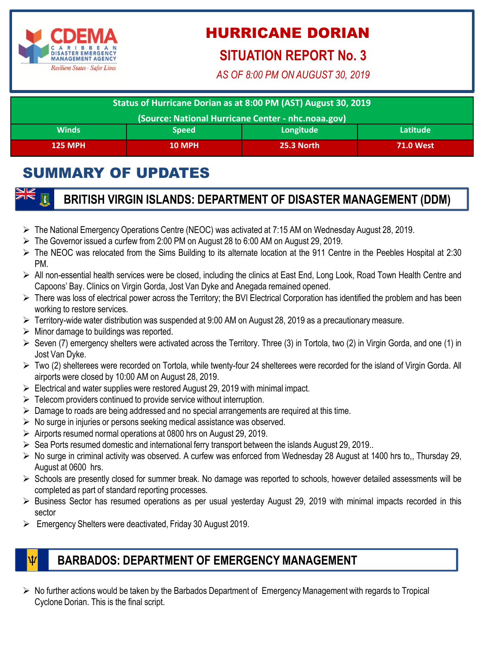

# HURRICANE DORIAN

### **SITUATION REPORT No. 3**

*AS OF 8:00 PM ON AUGUST 30, 2019*

| Status of Hurricane Dorian as at 8:00 PM (AST) August 30, 2019 |               |                   |                  |
|----------------------------------------------------------------|---------------|-------------------|------------------|
| (Source: National Hurricane Center - nhc.noaa.gov)             |               |                   |                  |
| <b>Winds</b>                                                   | <b>Speed</b>  | Longitude         | Latitude         |
| <b>125 MPH</b>                                                 | <b>10 MPH</b> | <b>25.3 North</b> | <b>71.0 West</b> |

## SUMMARY OF UPDATES

#### **BRITISH VIRGIN ISLANDS: DEPARTMENT OF DISASTER MANAGEMENT (DDM)**

- $\triangleright$  The National Emergency Operations Centre (NEOC) was activated at 7:15 AM on Wednesday August 28, 2019.
- The Governor issued a curfew from 2:00 PM on August 28 to 6:00 AM on August 29, 2019.
- $\triangleright$  The NEOC was relocated from the Sims Building to its alternate location at the 911 Centre in the Peebles Hospital at 2:30 PM.
- ▶ All non-essential health services were be closed, including the clinics at East End, Long Look, Road Town Health Centre and Capoons' Bay. Clinics on Virgin Gorda, Jost Van Dyke and Anegada remained opened.
- $\triangleright$  There was loss of electrical power across the Territory; the BVI Electrical Corporation has identified the problem and has been working to restore services.
- $\triangleright$  Territory-wide water distribution was suspended at 9:00 AM on August 28, 2019 as a precautionary measure.
- $\triangleright$  Minor damage to buildings was reported.
- $\triangleright$  Seven (7) emergency shelters were activated across the Territory. Three (3) in Tortola, two (2) in Virgin Gorda, and one (1) in Jost Van Dyke.
- Two (2) shelterees were recorded on Tortola, while twenty-four 24 shelterees were recorded for the island of Virgin Gorda. All airports were closed by 10:00 AM on August 28, 2019.
- $\triangleright$  Electrical and water supplies were restored August 29, 2019 with minimal impact.
- $\triangleright$  Telecom providers continued to provide service without interruption.
- $\triangleright$  Damage to roads are being addressed and no special arrangements are required at this time.
- $\triangleright$  No surge in injuries or persons seeking medical assistance was observed.
- $\triangleright$  Airports resumed normal operations at 0800 hrs on August 29, 2019.
- $\triangleright$  Sea Ports resumed domestic and international ferry transport between the islands August 29, 2019..
- $\triangleright$  No surge in criminal activity was observed. A curfew was enforced from Wednesday 28 August at 1400 hrs to,, Thursday 29, August at 0600 hrs.
- $\triangleright$  Schools are presently closed for summer break. No damage was reported to schools, however detailed assessments will be completed as part of standard reporting processes.
- $\triangleright$  Business Sector has resumed operations as per usual yesterday August 29, 2019 with minimal impacts recorded in this sector
- Emergency Shelters were deactivated, Friday 30 August 2019.

#### **BARBADOS: DEPARTMENT OF EMERGENCY MANAGEMENT**

 $\triangleright$  No further actions would be taken by the Barbados Department of Emergency Management with regards to Tropical Cyclone Dorian. This is the final script.